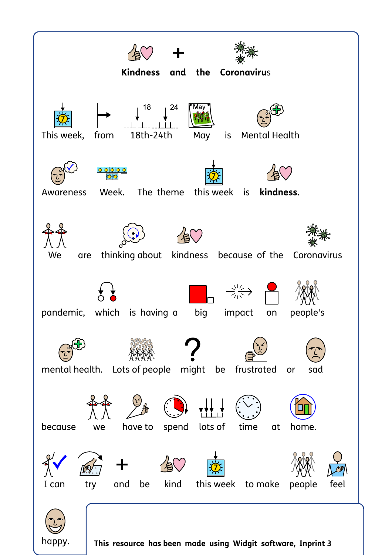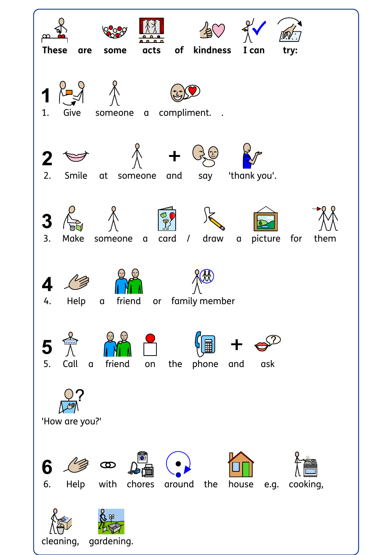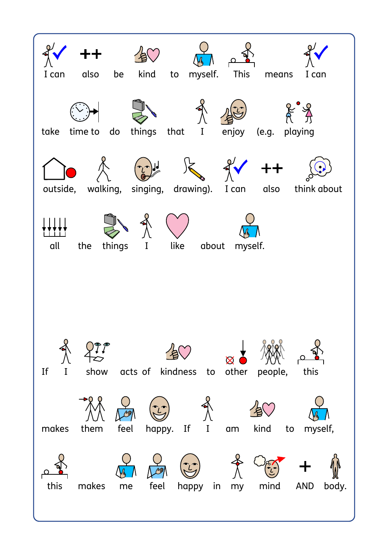